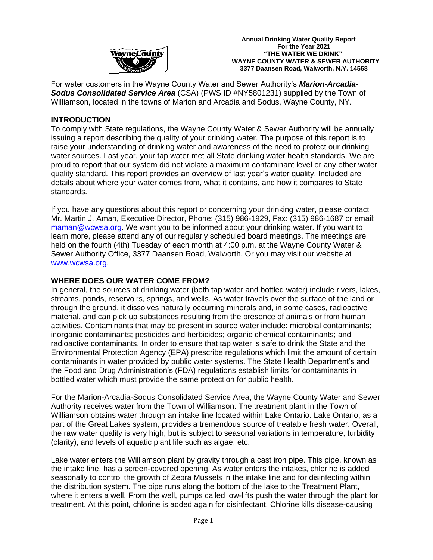

 **Annual Drinking Water Quality Report For the Year 2021**<br>**WayneCounty County Example 2021**<br>**WayneCounty Example 2021 "THE WATER WE DRINK" WAYNE COUNTY WATER & SEWER AUTHORITY 3377 Daansen Road, Walworth, N.Y. 14568**

For water customers in the Wayne County Water and Sewer Authority's *Marion-Arcadia-Sodus Consolidated Service Area* (CSA) (PWS ID #NY5801231) supplied by the Town of Williamson, located in the towns of Marion and Arcadia and Sodus, Wayne County, NY*.*

### **INTRODUCTION**

To comply with State regulations, the Wayne County Water & Sewer Authority will be annually issuing a report describing the quality of your drinking water. The purpose of this report is to raise your understanding of drinking water and awareness of the need to protect our drinking water sources. Last year, your tap water met all State drinking water health standards. We are proud to report that our system did not violate a maximum contaminant level or any other water quality standard. This report provides an overview of last year's water quality. Included are details about where your water comes from, what it contains, and how it compares to State standards.

If you have any questions about this report or concerning your drinking water, please contact Mr. Martin J. Aman, Executive Director, Phone: (315) 986-1929, Fax: (315) 986-1687 or email: [maman@wcwsa.org.](mailto:maman@wcwsa.org) We want you to be informed about your drinking water. If you want to learn more, please attend any of our regularly scheduled board meetings. The meetings are held on the fourth (4th) Tuesday of each month at 4:00 p.m. at the Wayne County Water & Sewer Authority Office, 3377 Daansen Road, Walworth. Or you may visit our website at [www.wcwsa.org.](http://www.wcwsa.org/)

### **WHERE DOES OUR WATER COME FROM?**

In general, the sources of drinking water (both tap water and bottled water) include rivers, lakes, streams, ponds, reservoirs, springs, and wells. As water travels over the surface of the land or through the ground, it dissolves naturally occurring minerals and, in some cases, radioactive material, and can pick up substances resulting from the presence of animals or from human activities. Contaminants that may be present in source water include: microbial contaminants; inorganic contaminants; pesticides and herbicides; organic chemical contaminants; and radioactive contaminants. In order to ensure that tap water is safe to drink the State and the Environmental Protection Agency (EPA) prescribe regulations which limit the amount of certain contaminants in water provided by public water systems. The State Health Department's and the Food and Drug Administration's (FDA) regulations establish limits for contaminants in bottled water which must provide the same protection for public health.

For the Marion-Arcadia-Sodus Consolidated Service Area, the Wayne County Water and Sewer Authority receives water from the Town of Williamson. The treatment plant in the Town of Williamson obtains water through an intake line located within Lake Ontario. Lake Ontario, as a part of the Great Lakes system, provides a tremendous source of treatable fresh water. Overall, the raw water quality is very high, but is subject to seasonal variations in temperature, turbidity (clarity), and levels of aquatic plant life such as algae, etc.

Lake water enters the Williamson plant by gravity through a cast iron pipe. This pipe, known as the intake line, has a screen-covered opening. As water enters the intakes, chlorine is added seasonally to control the growth of Zebra Mussels in the intake line and for disinfecting within the distribution system. The pipe runs along the bottom of the lake to the Treatment Plant, where it enters a well. From the well, pumps called low-lifts push the water through the plant for treatment. At this point*,* chlorine is added again for disinfectant. Chlorine kills disease-causing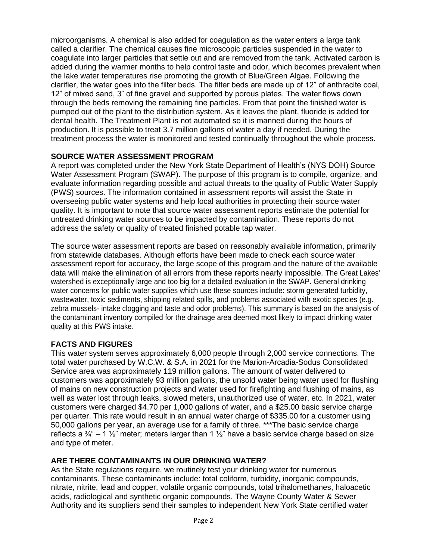microorganisms. A chemical is also added for coagulation as the water enters a large tank called a clarifier. The chemical causes fine microscopic particles suspended in the water to coagulate into larger particles that settle out and are removed from the tank. Activated carbon is added during the warmer months to help control taste and odor, which becomes prevalent when the lake water temperatures rise promoting the growth of Blue/Green Algae. Following the clarifier, the water goes into the filter beds. The filter beds are made up of 12" of anthracite coal, 12" of mixed sand, 3" of fine gravel and supported by porous plates. The water flows down through the beds removing the remaining fine particles. From that point the finished water is pumped out of the plant to the distribution system. As it leaves the plant, fluoride is added for dental health. The Treatment Plant is not automated so it is manned during the hours of production. It is possible to treat 3.7 million gallons of water a day if needed. During the treatment process the water is monitored and tested continually throughout the whole process.

# **SOURCE WATER ASSESSMENT PROGRAM**

A report was completed under the New York State Department of Health's (NYS DOH) Source Water Assessment Program (SWAP). The purpose of this program is to compile, organize, and evaluate information regarding possible and actual threats to the quality of Public Water Supply (PWS) sources. The information contained in assessment reports will assist the State in overseeing public water systems and help local authorities in protecting their source water quality. It is important to note that source water assessment reports estimate the potential for untreated drinking water sources to be impacted by contamination. These reports do not address the safety or quality of treated finished potable tap water.

The source water assessment reports are based on reasonably available information, primarily from statewide databases. Although efforts have been made to check each source water assessment report for accuracy, the large scope of this program and the nature of the available data will make the elimination of all errors from these reports nearly impossible. The Great Lakes' watershed is exceptionally large and too big for a detailed evaluation in the SWAP. General drinking water concerns for public water supplies which use these sources include: storm generated turbidity, wastewater, toxic sediments, shipping related spills, and problems associated with exotic species (e.g. zebra mussels- intake clogging and taste and odor problems). This summary is based on the analysis of the contaminant inventory compiled for the drainage area deemed most likely to impact drinking water quality at this PWS intake.

# **FACTS AND FIGURES**

This water system serves approximately 6,000 people through 2,000 service connections. The total water purchased by W.C.W. & S.A. in 2021 for the Marion-Arcadia-Sodus Consolidated Service area was approximately 119 million gallons. The amount of water delivered to customers was approximately 93 million gallons, the unsold water being water used for flushing of mains on new construction projects and water used for firefighting and flushing of mains, as well as water lost through leaks, slowed meters, unauthorized use of water, etc. In 2021, water customers were charged \$4.70 per 1,000 gallons of water, and a \$25.00 basic service charge per quarter. This rate would result in an annual water charge of \$335.00 for a customer using 50,000 gallons per year, an average use for a family of three. \*\*\*The basic service charge reflects a  $\frac{3}{4}$ " – 1  $\frac{1}{2}$ " meter; meters larger than 1  $\frac{1}{2}$ " have a basic service charge based on size and type of meter.

# **ARE THERE CONTAMINANTS IN OUR DRINKING WATER?**

As the State regulations require, we routinely test your drinking water for numerous contaminants. These contaminants include: total coliform, turbidity, inorganic compounds, nitrate, nitrite, lead and copper, volatile organic compounds, total trihalomethanes, haloacetic acids, radiological and synthetic organic compounds. The Wayne County Water & Sewer Authority and its suppliers send their samples to independent New York State certified water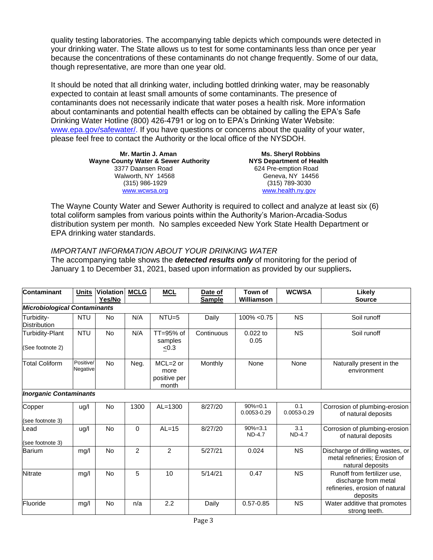quality testing laboratories. The accompanying table depicts which compounds were detected in your drinking water. The State allows us to test for some contaminants less than once per year because the concentrations of these contaminants do not change frequently. Some of our data, though representative, are more than one year old.

It should be noted that all drinking water, including bottled drinking water, may be reasonably expected to contain at least small amounts of some contaminants. The presence of contaminants does not necessarily indicate that water poses a health risk. More information about contaminants and potential health effects can be obtained by calling the EPA's Safe Drinking Water Hotline (800) 426-4791 or log on to EPA's Drinking Water Website: [www.epa.gov/safewater/.](http://www.epa.gov/safewater/) If you have questions or concerns about the quality of your water, please feel free to contact the Authority or the local office of the NYSDOH.

> **Mr. Martin J. Aman Ms. Sheryl Robbins Wayne County Water & Sewer Authority NYS Department of Health** 3377 Daansen Road 624 Pre-emption Road<br>
> Walworth, NY 14568 6eneva, NY 14456 Walworth, NY 14568 (315) 986-1929 (315) 789-3030 [www.wcwsa.](http://www.wcwsa/)org [www.health.ny.gov](http://www.health.ny.gov/)

The Wayne County Water and Sewer Authority is required to collect and analyze at least six (6) total coliform samples from various points within the Authority's Marion-Arcadia-Sodus distribution system per month. No samples exceeded New York State Health Department or EPA drinking water standards.

# *IMPORTANT INFORMATION ABOUT YOUR DRINKING WATER*

The accompanying table shows the *detected results only* of monitoring for the period of January 1 to December 31, 2021, based upon information as provided by our suppliers**.** 

| Contaminant                         | <b>Units</b>          | <b>Violation</b><br>Yes/No | <b>MCLG</b>    | <b>MCL</b>                                  | Date of<br><b>Sample</b> | Town of<br>Williamson        | <b>WCWSA</b>         | Likely<br><b>Source</b>                                                                           |
|-------------------------------------|-----------------------|----------------------------|----------------|---------------------------------------------|--------------------------|------------------------------|----------------------|---------------------------------------------------------------------------------------------------|
| <b>Microbiological Contaminants</b> |                       |                            |                |                                             |                          |                              |                      |                                                                                                   |
| Turbidity-<br>Distribution          | <b>NTU</b>            | No                         | N/A            | $NTU=5$                                     | Daily                    | $100\% < 0.75$               | <b>NS</b>            | Soil runoff                                                                                       |
| Turbidity-Plant<br>(See footnote 2) | <b>NTU</b>            | No                         | N/A            | TT=95% of<br>samples<br>$\leq 0.3$          | Continuous               | $0.022$ to<br>0.05           | <b>NS</b>            | Soil runoff                                                                                       |
| <b>Total Coliform</b>               | Positive/<br>Negative | <b>No</b>                  | Neg.           | $MCL=2$ or<br>more<br>positive per<br>month | Monthly                  | None                         | None                 | Naturally present in the<br>environment                                                           |
| <b>Inorganic Contaminants</b>       |                       |                            |                |                                             |                          |                              |                      |                                                                                                   |
| Copper                              | ug/l                  | <b>No</b>                  | 1300           | $AL=1300$                                   | 8/27/20                  | $90% = 0.1$<br>0.0053-0.29   | 0.1<br>0.0053-0.29   | Corrosion of plumbing-erosion<br>of natural deposits                                              |
| (see footnote 3)                    |                       |                            |                |                                             |                          |                              |                      |                                                                                                   |
| Lead<br>(see footnote 3)            | ug/l                  | <b>No</b>                  | $\Omega$       | $AL=15$                                     | 8/27/20                  | $90% = 3.1$<br><b>ND-4.7</b> | 3.1<br><b>ND-4.7</b> | Corrosion of plumbing-erosion<br>of natural deposits                                              |
| <b>Barium</b>                       | mg/l                  | <b>No</b>                  | $\overline{c}$ | 2                                           | 5/27/21                  | 0.024                        | <b>NS</b>            | Discharge of drilling wastes, or<br>metal refineries; Erosion of<br>natural deposits              |
| <b>Nitrate</b>                      | mg/l                  | <b>No</b>                  | 5              | 10                                          | 5/14/21                  | 0.47                         | <b>NS</b>            | Runoff from fertilizer use.<br>discharge from metal<br>refineries, erosion of natural<br>deposits |
| Fluoride                            | mg/l                  | No                         | n/a            | 2.2                                         | Daily                    | $0.57 - 0.85$                | <b>NS</b>            | Water additive that promotes<br>strong teeth.                                                     |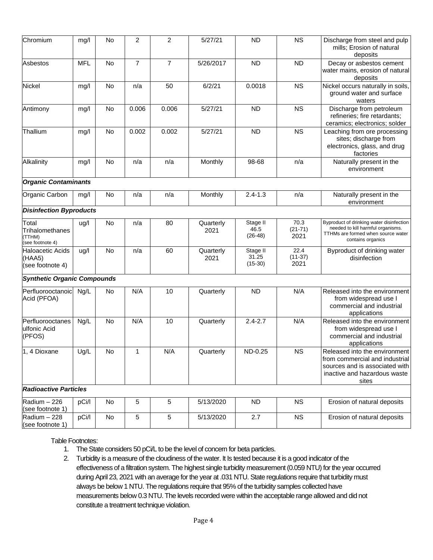| Chromium                                               | mg/l       | No        | $\overline{c}$ | $\overline{c}$ | 5/27/21           | <b>ND</b>                      | <b>NS</b>                 | Discharge from steel and pulp<br>mills; Erosion of natural<br>deposits                                                                     |
|--------------------------------------------------------|------------|-----------|----------------|----------------|-------------------|--------------------------------|---------------------------|--------------------------------------------------------------------------------------------------------------------------------------------|
| Asbestos                                               | <b>MFL</b> | No        | $\overline{7}$ | $\overline{7}$ | 5/26/2017         | <b>ND</b>                      | <b>ND</b>                 | Decay or asbestos cement<br>water mains, erosion of natural<br>deposits                                                                    |
| Nickel                                                 | mg/l       | No        | n/a            | 50             | 6/2/21            | 0.0018                         | <b>NS</b>                 | Nickel occurs naturally in soils,<br>ground water and surface<br>waters                                                                    |
| Antimony                                               | mg/l       | No        | 0.006          | 0.006          | 5/27/21           | <b>ND</b>                      | <b>NS</b>                 | Discharge from petroleum<br>refineries; fire retardants;<br>ceramics; electronics; solder                                                  |
| Thallium                                               | mg/l       | No        | 0.002          | 0.002          | 5/27/21           | <b>ND</b>                      | <b>NS</b>                 | Leaching from ore processing<br>sites; discharge from<br>electronics, glass, and drug<br>factories                                         |
| Alkalinity                                             | mg/l       | <b>No</b> | n/a            | n/a            | Monthly           | 98-68                          | n/a                       | Naturally present in the<br>environment                                                                                                    |
| <b>Organic Contaminants</b>                            |            |           |                |                |                   |                                |                           |                                                                                                                                            |
| Organic Carbon                                         | mg/l       | No        | n/a            | n/a            | Monthly           | $2.4 - 1.3$                    | n/a                       | Naturally present in the<br>environment                                                                                                    |
| <b>Disinfection Byproducts</b>                         |            |           |                |                |                   |                                |                           |                                                                                                                                            |
| Total<br>Trihalomethanes<br>(TTHM)<br>(see footnote 4) | ug/l       | No        | n/a            | 80             | Quarterly<br>2021 | Stage II<br>46.5<br>$(26-48)$  | 70.3<br>$(21-71)$<br>2021 | Byproduct of drinking water disinfection<br>needed to kill harmful organisms.<br>TTHMs are formed when source water<br>contains organics   |
| <b>Haloacetic Acids</b><br>(HAA5)<br>(see footnote 4)  | ug/l       | No        | n/a            | 60             | Quarterly<br>2021 | Stage II<br>31.25<br>$(15-30)$ | 22.4<br>$(11-37)$<br>2021 | Byproduct of drinking water<br>disinfection                                                                                                |
| <b>Synthetic Organic Compounds</b>                     |            |           |                |                |                   |                                |                           |                                                                                                                                            |
| Perfluorooctanoic<br>Acid (PFOA)                       | Ng/L       | No        | N/A            | 10             | Quarterly         | <b>ND</b>                      | N/A                       | Released into the environment<br>from widespread use I<br>commercial and industrial<br>applications                                        |
| Perfluorooctanes<br>ulfonic Acid<br>(PFOS)             | Ng/L       | <b>No</b> | N/A            | 10             | Quarterly         | $2.4 - 2.7$                    | N/A                       | Released into the environment<br>from widespread use I<br>commercial and industrial<br>applications                                        |
| 1, 4 Dioxane                                           | Ug/L       | No        | $\mathbf{1}$   | N/A            | Quarterly         | ND-0.25                        | <b>NS</b>                 | Released into the environment<br>from commercial and industrial<br>sources and is associated with<br>inactive and hazardous waste<br>sites |
| <b>Radioactive Particles</b>                           |            |           |                |                |                   |                                |                           |                                                                                                                                            |
| Radium - 226<br>(see footnote 1)                       | pCi/l      | No        | 5              | 5              | 5/13/2020         | <b>ND</b>                      | <b>NS</b>                 | Erosion of natural deposits                                                                                                                |
| Radium - 228<br>(see footnote 1)                       | pCi/l      | No        | $\sqrt{5}$     | 5              | 5/13/2020         | 2.7                            | <b>NS</b>                 | Erosion of natural deposits                                                                                                                |

#### Table Footnotes:

- 1. The State considers 50 pCi/L to be the level of concern for beta particles.
- 2. Turbidity is a measure of the cloudiness of the water. It Is tested because it is a good indicator of the effectiveness of a filtration system. The highest single turbidity measurement (0.059 NTU) for the year occurred during April 23, 2021 with an average for the year at .031 NTU. State regulations require that turbidity must always be below 1 NTU. The regulations require that 95% of the turbidity samples collected have measurements below 0.3 NTU. The levels recorded were within the acceptable range allowed and did not constitute a treatment technique violation.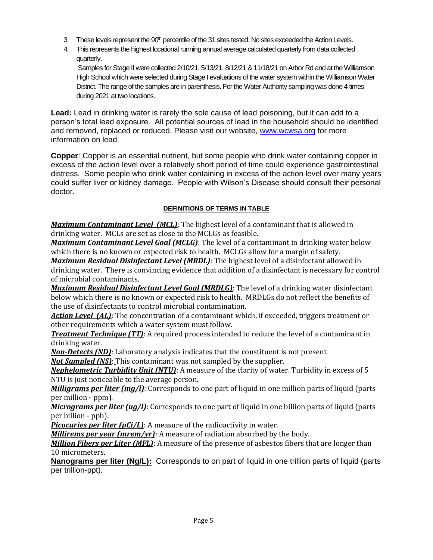- 3. These levels represent the 90<sup>th</sup> percentile of the 31 sites tested. No sites exceeded the Action Levels.
- 4. This represents the highest locational running annual average calculated quarterly from data collected quarterly.

Samples for Stage II were collected 2/10/21, 5/13/21, 8/12/21 & 11/18/21 on Arbor Rd and at the Williamson High School which were selected during Stage I evaluations of the water system within the Williamson Water District. The range of the samples are in parenthesis. For the Water Authority sampling was done 4 times during 2021 at two locations.

**Lead:** Lead in drinking water is rarely the sole cause of lead poisoning, but it can add to a person's total lead exposure. All potential sources of lead in the household should be identified and removed, replaced or reduced. Please visit our website, [www.wcwsa.org](http://www.wcwsa.org/) for more information on lead.

**Copper**: Copper is an essential nutrient, but some people who drink water containing copper in excess of the action level over a relatively short period of time could experience gastrointestinal distress. Some people who drink water containing in excess of the action level over many years could suffer liver or kidney damage. People with Wilson's Disease should consult their personal doctor.

# **DEFINITIONS OF TERMS IN TABLE**

*Maximum Contaminant Level (MCL)*: The highest level of a contaminant that is allowed in drinking water. MCLs are set as close to the MCLGs as feasible.

*Maximum Contaminant Level Goal (MCLG)*: The level of a contaminant in drinking water below which there is no known or expected risk to health. MCLGs allow for a margin of safety.

*Maximum Residual Disinfectant Level (MRDL)*: The highest level of a disinfectant allowed in drinking water. There is convincing evidence that addition of a disinfectant is necessary for control of microbial contaminants.

*Maximum Residual Disinfectant Level Goal (MRDLG)*: The level of a drinking water disinfectant below which there is no known or expected risk to health. MRDLGs do not reflect the benefits of the use of disinfectants to control microbial contamination.

*Action Level (AL)*: The concentration of a contaminant which, if exceeded, triggers treatment or other requirements which a water system must follow.

*Treatment Technique (TT):* A required process intended to reduce the level of a contaminant in drinking water.

*Non-Detects (ND)*: Laboratory analysis indicates that the constituent is not present.

*Not Sampled (NS)*: This contaminant was not sampled by the supplier.

*Nephelometric Turbidity Unit (NTU)*: A measure of the clarity of water. Turbidity in excess of 5 NTU is just noticeable to the average person.

*Milligrams per liter (mg/l)*: Corresponds to one part of liquid in one million parts of liquid (parts per million - ppm).

*Micrograms per liter (ug/l)*: Corresponds to one part of liquid in one billion parts of liquid (parts per billion - ppb).

*Picocuries per liter (pCi/L)*: A measure of the radioactivity in water.

*Millirems per year (mrem/yr)*: A measure of radiation absorbed by the body.

*Million Fibers per Liter (MFL)*: A measure of the presence of asbestos fibers that are longer than 10 micrometers.

**Nanograms per liter (Ng/L):** Corresponds to on part of liquid in one trillion parts of liquid (parts per trillion-ppt).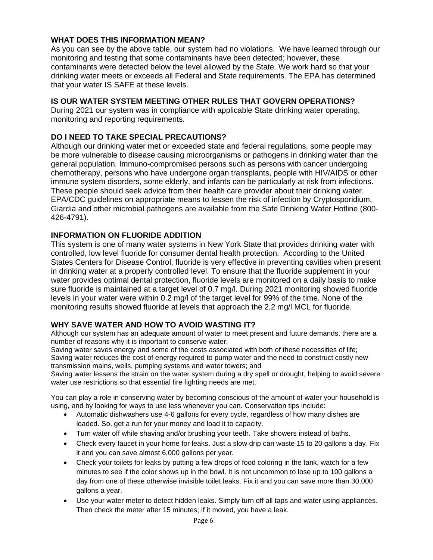# **WHAT DOES THIS INFORMATION MEAN?**

As you can see by the above table, our system had no violations. We have learned through our monitoring and testing that some contaminants have been detected; however, these contaminants were detected below the level allowed by the State. We work hard so that your drinking water meets or exceeds all Federal and State requirements. The EPA has determined that your water IS SAFE at these levels.

# **IS OUR WATER SYSTEM MEETING OTHER RULES THAT GOVERN OPERATIONS?**

During 2021 our system was in compliance with applicable State drinking water operating, monitoring and reporting requirements.

# **DO I NEED TO TAKE SPECIAL PRECAUTIONS?**

Although our drinking water met or exceeded state and federal regulations, some people may be more vulnerable to disease causing microorganisms or pathogens in drinking water than the general population. Immuno-compromised persons such as persons with cancer undergoing chemotherapy, persons who have undergone organ transplants, people with HIV/AIDS or other immune system disorders, some elderly, and infants can be particularly at risk from infections. These people should seek advice from their health care provider about their drinking water. EPA/CDC guidelines on appropriate means to lessen the risk of infection by Cryptosporidium, Giardia and other microbial pathogens are available from the Safe Drinking Water Hotline (800- 426-4791).

### **INFORMATION ON FLUORIDE ADDITION**

This system is one of many water systems in New York State that provides drinking water with controlled, low level fluoride for consumer dental health protection. According to the United States Centers for Disease Control, fluoride is very effective in preventing cavities when present in drinking water at a properly controlled level. To ensure that the fluoride supplement in your water provides optimal dental protection, fluoride levels are monitored on a daily basis to make sure fluoride is maintained at a target level of 0.7 mg/l. During 2021 monitoring showed fluoride levels in your water were within 0.2 mg/l of the target level for 99% of the time. None of the monitoring results showed fluoride at levels that approach the 2.2 mg/l MCL for fluoride.

### **WHY SAVE WATER AND HOW TO AVOID WASTING IT?**

Although our system has an adequate amount of water to meet present and future demands, there are a number of reasons why it is important to conserve water.

Saving water saves energy and some of the costs associated with both of these necessities of life; Saving water reduces the cost of energy required to pump water and the need to construct costly new transmission mains, wells, pumping systems and water towers; and

Saving water lessens the strain on the water system during a dry spell or drought, helping to avoid severe water use restrictions so that essential fire fighting needs are met.

You can play a role in conserving water by becoming conscious of the amount of water your household is using, and by looking for ways to use less whenever you can. Conservation tips include:

- Automatic dishwashers use 4-6 gallons for every cycle, regardless of how many dishes are loaded. So, get a run for your money and load it to capacity.
- Turn water off while shaving and/or brushing your teeth. Take showers instead of baths.
- Check every faucet in your home for leaks. Just a slow drip can waste 15 to 20 gallons a day. Fix it and you can save almost 6,000 gallons per year.
- Check your toilets for leaks by putting a few drops of food coloring in the tank, watch for a few minutes to see if the color shows up in the bowl. It is not uncommon to lose up to 100 gallons a day from one of these otherwise invisible toilet leaks. Fix it and you can save more than 30,000 gallons a year.
- Use your water meter to detect hidden leaks. Simply turn off all taps and water using appliances. Then check the meter after 15 minutes; if it moved, you have a leak.